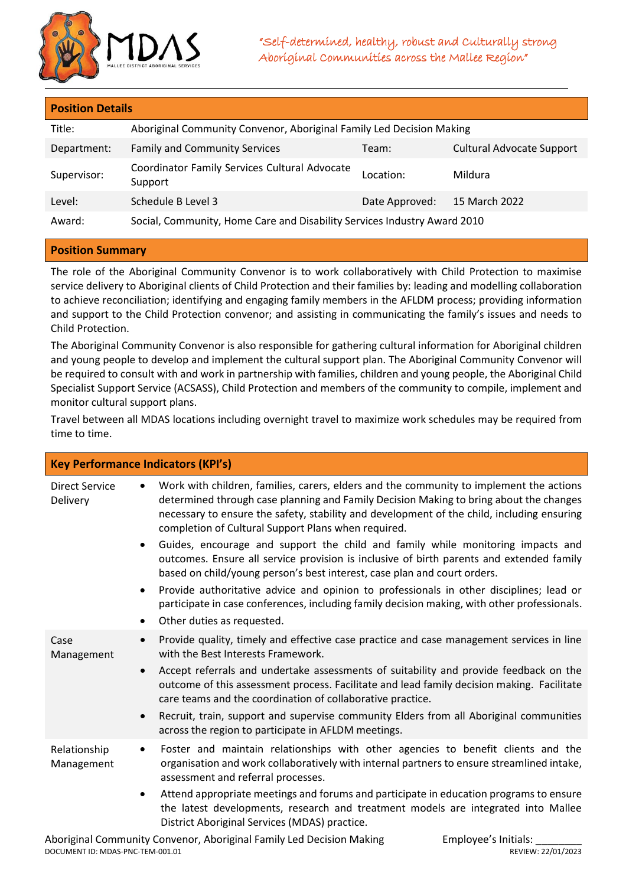

| <b>Position Details</b> |                                                                          |                |                                  |  |  |
|-------------------------|--------------------------------------------------------------------------|----------------|----------------------------------|--|--|
| Title:                  | Aboriginal Community Convenor, Aboriginal Family Led Decision Making     |                |                                  |  |  |
| Department:             | <b>Family and Community Services</b>                                     | Team:          | <b>Cultural Advocate Support</b> |  |  |
| Supervisor:             | Coordinator Family Services Cultural Advocate<br>Support                 | Location:      | Mildura                          |  |  |
| Level:                  | Schedule B Level 3                                                       | Date Approved: | 15 March 2022                    |  |  |
| Award:                  | Social, Community, Home Care and Disability Services Industry Award 2010 |                |                                  |  |  |

## **Position Summary**

The role of the Aboriginal Community Convenor is to work collaboratively with Child Protection to maximise service delivery to Aboriginal clients of Child Protection and their families by: leading and modelling collaboration to achieve reconciliation; identifying and engaging family members in the AFLDM process; providing information and support to the Child Protection convenor; and assisting in communicating the family's issues and needs to Child Protection.

The Aboriginal Community Convenor is also responsible for gathering cultural information for Aboriginal children and young people to develop and implement the cultural support plan. The Aboriginal Community Convenor will be required to consult with and work in partnership with families, children and young people, the Aboriginal Child Specialist Support Service (ACSASS), Child Protection and members of the community to compile, implement and monitor cultural support plans.

Travel between all MDAS locations including overnight travel to maximize work schedules may be required from time to time.

| <b>Key Performance Indicators (KPI's)</b>                                             |                                                                                                                                                                                                                                                                                                                                                                                                                                                                                                                                                                                                                                                                                                                                                                                                                            |  |  |
|---------------------------------------------------------------------------------------|----------------------------------------------------------------------------------------------------------------------------------------------------------------------------------------------------------------------------------------------------------------------------------------------------------------------------------------------------------------------------------------------------------------------------------------------------------------------------------------------------------------------------------------------------------------------------------------------------------------------------------------------------------------------------------------------------------------------------------------------------------------------------------------------------------------------------|--|--|
| <b>Direct Service</b><br>$\bullet$<br>Delivery<br>$\bullet$<br>$\bullet$<br>$\bullet$ | Work with children, families, carers, elders and the community to implement the actions<br>determined through case planning and Family Decision Making to bring about the changes<br>necessary to ensure the safety, stability and development of the child, including ensuring<br>completion of Cultural Support Plans when required.<br>Guides, encourage and support the child and family while monitoring impacts and<br>outcomes. Ensure all service provision is inclusive of birth parents and extended family<br>based on child/young person's best interest, case plan and court orders.<br>Provide authoritative advice and opinion to professionals in other disciplines; lead or<br>participate in case conferences, including family decision making, with other professionals.<br>Other duties as requested. |  |  |
| Case<br>Management<br>$\bullet$<br>$\bullet$                                          | Provide quality, timely and effective case practice and case management services in line<br>with the Best Interests Framework.<br>Accept referrals and undertake assessments of suitability and provide feedback on the<br>outcome of this assessment process. Facilitate and lead family decision making. Facilitate<br>care teams and the coordination of collaborative practice.<br>Recruit, train, support and supervise community Elders from all Aboriginal communities<br>across the region to participate in AFLDM meetings.                                                                                                                                                                                                                                                                                       |  |  |
| Relationship<br>$\bullet$<br>Management<br>$\bullet$                                  | Foster and maintain relationships with other agencies to benefit clients and the<br>organisation and work collaboratively with internal partners to ensure streamlined intake,<br>assessment and referral processes.<br>Attend appropriate meetings and forums and participate in education programs to ensure<br>the latest developments, research and treatment models are integrated into Mallee<br>District Aboriginal Services (MDAS) practice.                                                                                                                                                                                                                                                                                                                                                                       |  |  |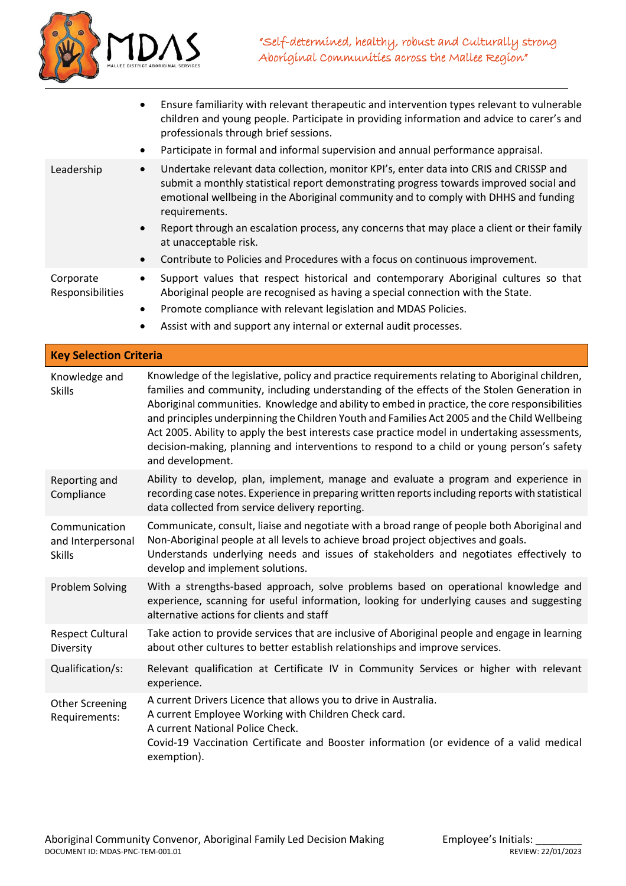

• Ensure familiarity with relevant therapeutic and intervention types relevant to vulnerable children and young people. Participate in providing information and advice to carer's and professionals through brief sessions. • Participate in formal and informal supervision and annual performance appraisal. Leadership • Undertake relevant data collection, monitor KPI's, enter data into CRIS and CRISSP and submit a monthly statistical report demonstrating progress towards improved social and emotional wellbeing in the Aboriginal community and to comply with DHHS and funding requirements. • Report through an escalation process, any concerns that may place a client or their family at unacceptable risk. • Contribute to Policies and Procedures with a focus on continuous improvement. Corporate Responsibilities • Support values that respect historical and contemporary Aboriginal cultures so that Aboriginal people are recognised as having a special connection with the State. • Promote compliance with relevant legislation and MDAS Policies. Assist with and support any internal or external audit processes.

| <b>Key Selection Criteria</b>                       |                                                                                                                                                                                                                                                                                                                                                                                                                                                                                                                                                                                                                   |  |
|-----------------------------------------------------|-------------------------------------------------------------------------------------------------------------------------------------------------------------------------------------------------------------------------------------------------------------------------------------------------------------------------------------------------------------------------------------------------------------------------------------------------------------------------------------------------------------------------------------------------------------------------------------------------------------------|--|
| Knowledge and<br><b>Skills</b>                      | Knowledge of the legislative, policy and practice requirements relating to Aboriginal children,<br>families and community, including understanding of the effects of the Stolen Generation in<br>Aboriginal communities. Knowledge and ability to embed in practice, the core responsibilities<br>and principles underpinning the Children Youth and Families Act 2005 and the Child Wellbeing<br>Act 2005. Ability to apply the best interests case practice model in undertaking assessments,<br>decision-making, planning and interventions to respond to a child or young person's safety<br>and development. |  |
| Reporting and<br>Compliance                         | Ability to develop, plan, implement, manage and evaluate a program and experience in<br>recording case notes. Experience in preparing written reports including reports with statistical<br>data collected from service delivery reporting.                                                                                                                                                                                                                                                                                                                                                                       |  |
| Communication<br>and Interpersonal<br><b>Skills</b> | Communicate, consult, liaise and negotiate with a broad range of people both Aboriginal and<br>Non-Aboriginal people at all levels to achieve broad project objectives and goals.<br>Understands underlying needs and issues of stakeholders and negotiates effectively to<br>develop and implement solutions.                                                                                                                                                                                                                                                                                                    |  |
| <b>Problem Solving</b>                              | With a strengths-based approach, solve problems based on operational knowledge and<br>experience, scanning for useful information, looking for underlying causes and suggesting<br>alternative actions for clients and staff                                                                                                                                                                                                                                                                                                                                                                                      |  |
| <b>Respect Cultural</b><br>Diversity                | Take action to provide services that are inclusive of Aboriginal people and engage in learning<br>about other cultures to better establish relationships and improve services.                                                                                                                                                                                                                                                                                                                                                                                                                                    |  |
| Qualification/s:                                    | Relevant qualification at Certificate IV in Community Services or higher with relevant<br>experience.                                                                                                                                                                                                                                                                                                                                                                                                                                                                                                             |  |
| <b>Other Screening</b><br>Requirements:             | A current Drivers Licence that allows you to drive in Australia.<br>A current Employee Working with Children Check card.<br>A current National Police Check.<br>Covid-19 Vaccination Certificate and Booster information (or evidence of a valid medical<br>exemption).                                                                                                                                                                                                                                                                                                                                           |  |